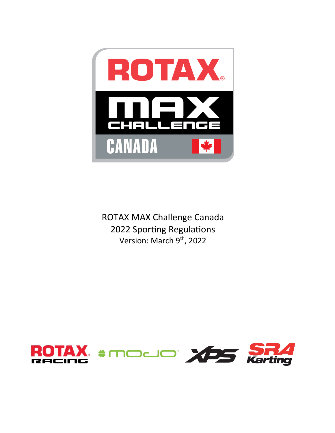

ROTAX MAX Challenge Canada 2022 Sporting Regulations Version: March 9<sup>th</sup>, 2022

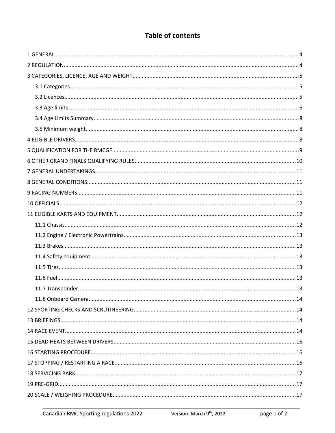# **Table of contents**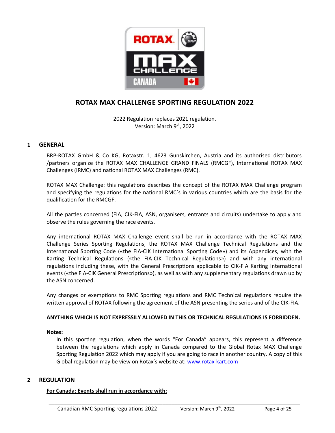

## **ROTAX MAX CHALLENGE SPORTING REGULATION 2022**

2022 Regulation replaces 2021 regulation. Version: March 9<sup>th</sup>, 2022

## <span id="page-3-1"></span>**1 GENERAL**

BRP-ROTAX GmbH & Co KG, Rotaxstr. 1, 4623 Gunskirchen, Austria and its authorised distributors /partners organize the ROTAX MAX CHALLENGE GRAND FINALS (RMCGF), International ROTAX MAX Challenges (IRMC) and national ROTAX MAX Challenges (RMC).

ROTAX MAX Challenge: this regulations describes the concept of the ROTAX MAX Challenge program and specifying the regulations for the national RMC´s in various countries which are the basis for the qualification for the RMCGF.

All the parties concerned (FIA, CIK-FIA, ASN, organisers, entrants and circuits) undertake to apply and observe the rules governing the race events.

Any international ROTAX MAX Challenge event shall be run in accordance with the ROTAX MAX Challenge Series Sporting Regulations, the ROTAX MAX Challenge Technical Regulations and the International Sporting Code («the FIA-CIK International Sporting Code») and its Appendices, with the Karting Technical Regulations («the FIA-CIK Technical Regulations») and with any international regulations including these, with the General Prescriptions applicable to CIK-FIA Karting International events («the FIA-CIK General Prescriptions»), as well as with any supplementary regulations drawn up by the ASN concerned.

Any changes or exemptions to RMC Sporting regulations and RMC Technical regulations require the written approval of ROTAX following the agreement of the ASN presenting the series and of the CIK-FIA.

#### **ANYTHING WHICH IS NOT EXPRESSILY ALLOWED IN THIS OR TECHNICAL REGULATIONS IS FORBIDDEN.**

#### **Notes:**

In this sporting regulation, when the words "For Canada" appears, this represent a difference between the regulations which apply in Canada compared to the Global Rotax MAX Challenge Sporting Regulation 2022 which may apply if you are going to race in another country. A copy of this Global regulation may be view on Rotax's website at: [www.rotax-kart.com](http://www.rotax-kart.com/)

\_\_\_\_\_\_\_\_\_\_\_\_\_\_\_\_\_\_\_\_\_\_\_\_\_\_\_\_\_\_\_\_\_\_\_\_\_\_\_\_\_\_\_\_\_\_\_\_\_\_\_\_\_\_\_\_\_\_\_\_\_\_\_\_\_\_\_\_\_\_\_\_\_\_\_\_\_\_\_\_\_\_\_\_

## <span id="page-3-0"></span>**2 REGULATION**

#### **For Canada: Events shall run in accordance with:**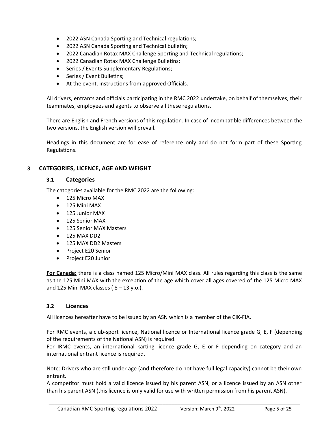- 2022 ASN Canada Sporting and Technical regulations;
- 2022 ASN Canada Sporting and Technical bulletin;
- 2022 Canadian Rotax MAX Challenge Sporting and Technical regulations;
- 2022 Canadian Rotax MAX Challenge Bulletins;
- Series / Events Supplementary Regulations;
- Series / Event Bulletins;
- At the event, instructions from approved Officials.

All drivers, entrants and officials participating in the RMC 2022 undertake, on behalf of themselves, their teammates, employees and agents to observe all these regulations.

There are English and French versions of this regulation. In case of incompatible differences between the two versions, the English version will prevail.

Headings in this document are for ease of reference only and do not form part of these Sporting Regulations.

## <span id="page-4-2"></span>**3 CATEGORIES, LICENCE, AGE AND WEIGHT**

#### <span id="page-4-1"></span>**3.1 Categories**

The catogories available for the RMC 2022 are the following:

- $\bullet$  125 Micro MAX
- 125 Mini MAX
- 125 Junior MAX
- 125 Senior MAX
- 125 Senior MAX Masters
- $\bullet$  125 MAX DD2
- 125 MAX DD2 Masters
- Project E20 Senior
- Project E20 Junior

**For Canada:** there is a class named 125 Micro/Mini MAX class. All rules regarding this class is the same as the 125 Mini MAX with the exception of the age which cover all ages covered of the 125 Micro MAX and 125 Mini MAX classes ( $8 - 13$  y.o.).

#### <span id="page-4-0"></span>**3.2 Licences**

All licences hereafter have to be issued by an ASN which is a member of the CIK-FIA.

For RMC events, a club-sport licence, National licence or International licence grade G, E, F (depending of the requirements of the National ASN) is required.

For IRMC events, an international karting licence grade G, E or F depending on category and an international entrant licence is required.

Note: Drivers who are still under age (and therefore do not have full legal capacity) cannot be their own entrant.

A competitor must hold a valid licence issued by his parent ASN, or a licence issued by an ASN other than his parent ASN (this licence is only valid for use with written permission from his parent ASN).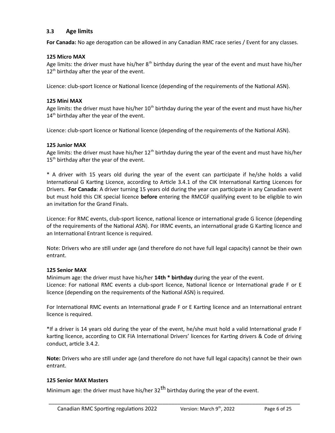## <span id="page-5-0"></span>**3.3 Age limits**

**For Canada:** No age derogation can be allowed in any Canadian RMC race series / Event for any classes.

#### **125 Micro MAX**

Age limits: the driver must have his/her  $8<sup>th</sup>$  birthday during the year of the event and must have his/her  $12<sup>th</sup>$  birthday after the year of the event.

Licence: club-sport licence or National licence (depending of the requirements of the National ASN).

#### **125 Mini MAX**

Age limits: the driver must have his/her  $10<sup>th</sup>$  birthday during the year of the event and must have his/her  $14<sup>th</sup>$  birthday after the year of the event.

Licence: club-sport licence or National licence (depending of the requirements of the National ASN).

#### **125 Junior MAX**

Age limits: the driver must have his/her 12<sup>th</sup> birthday during the year of the event and must have his/her 15<sup>th</sup> birthday after the year of the event.

\* A driver with 15 years old during the year of the event can participate if he/she holds a valid International G Karting Licence, according to Article 3.4.1 of the CIK International Karting Licences for Drivers. **For Canada**: A driver turning 15 years old during the year can participate in any Canadian event but must hold this CIK special licence **before** entering the RMCGF qualifying event to be eligible to win an invitation for the Grand Finals.

Licence: For RMC events, club-sport licence, national licence or international grade G licence (depending of the requirements of the National ASN). For IRMC events, an international grade G Karting licence and an International Entrant licence is required.

Note: Drivers who are still under age (and therefore do not have full legal capacity) cannot be their own entrant.

#### **125 Senior MAX**

Minimum age: the driver must have his/her **14th \* birthday** during the year of the event. Licence: For national RMC events a club-sport licence, National licence or International grade F or E licence (depending on the requirements of the National ASN) is required.

For International RMC events an International grade F or E Karting licence and an International entrant licence is required.

\*If a driver is 14 years old during the year of the event, he/she must hold a valid International grade F karting licence, according to CIK FIA International Drivers' licences for Karting drivers & Code of driving conduct, article 3.4.2.

**Note:** Drivers who are still under age (and therefore do not have full legal capacity) cannot be their own entrant.

\_\_\_\_\_\_\_\_\_\_\_\_\_\_\_\_\_\_\_\_\_\_\_\_\_\_\_\_\_\_\_\_\_\_\_\_\_\_\_\_\_\_\_\_\_\_\_\_\_\_\_\_\_\_\_\_\_\_\_\_\_\_\_\_\_\_\_\_\_\_\_\_\_\_\_\_\_\_\_\_\_\_\_\_

#### **125 Senior MAX Masters**

Minimum age: the driver must have his/her  $32<sup>th</sup>$  birthday during the year of the event.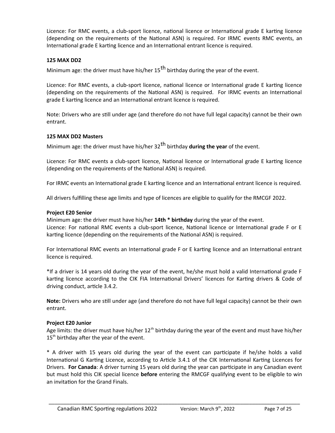Licence: For RMC events, a club-sport licence, national licence or International grade E karting licence (depending on the requirements of the National ASN) is required. For IRMC events RMC events, an International grade E karting licence and an International entrant licence is required.

## **125 MAX DD2**

Minimum age: the driver must have his/her  $15<sup>th</sup>$  birthday during the year of the event.

Licence: For RMC events, a club-sport licence, national licence or International grade E karting licence (depending on the requirements of the National ASN) is required. For IRMC events an International grade E karting licence and an International entrant licence is required.

Note: Drivers who are still under age (and therefore do not have full legal capacity) cannot be their own entrant.

#### **125 MAX DD2 Masters**

Minimum age: the driver must have his/her 32th birthday **during the year** of the event.

Licence: For RMC events a club-sport licence, National licence or International grade E karting licence (depending on the requirements of the National ASN) is required.

For IRMC events an International grade E karting licence and an International entrant licence is required.

All drivers fulfilling these age limits and type of licences are eligible to qualify for the RMCGF 2022.

#### **Project E20 Senior**

Minimum age: the driver must have his/her **14th \* birthday** during the year of the event. Licence: For national RMC events a club-sport licence, National licence or International grade F or E karting licence (depending on the requirements of the National ASN) is required.

For International RMC events an International grade F or E karting licence and an International entrant licence is required.

\*If a driver is 14 years old during the year of the event, he/she must hold a valid International grade F karting licence according to the CIK FIA International Drivers' licences for Karting drivers & Code of driving conduct, article 3.4.2.

**Note:** Drivers who are still under age (and therefore do not have full legal capacity) cannot be their own entrant.

#### **Project E20 Junior**

Age limits: the driver must have his/her  $12<sup>th</sup>$  birthday during the year of the event and must have his/her  $15<sup>th</sup>$  birthday after the year of the event.

\* A driver with 15 years old during the year of the event can participate if he/she holds a valid International G Karting Licence, according to Article 3.4.1 of the CIK International Karting Licences for Drivers. **For Canada**: A driver turning 15 years old during the year can participate in any Canadian event but must hold this CIK special licence **before** entering the RMCGF qualifying event to be eligible to win an invitation for the Grand Finals.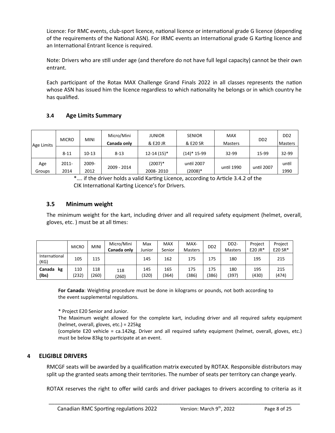Licence: For RMC events, club-sport licence, national licence or international grade G licence (depending of the requirements of the National ASN). For IRMC events an International grade G Karting licence and an International Entrant licence is required.

Note: Drivers who are still under age (and therefore do not have full legal capacity) cannot be their own entrant.

Each participant of the Rotax MAX Challenge Grand Finals 2022 in all classes represents the nation whose ASN has issued him the licence regardless to which nationality he belongs or in which country he has qualified.

## <span id="page-7-2"></span>**3.4 Age Limits Summary**

| Age Limits    | <b>MICRO</b>  | <b>MINI</b>   | Micro/Mini<br>Canada only | <b>JUNIOR</b><br>& E20 JR | <b>SENIOR</b><br>& E20 SR | <b>MAX</b><br><b>Masters</b> | D <sub>D</sub> <sub>2</sub> | D <sub>D</sub> <sub>2</sub><br>Masters |
|---------------|---------------|---------------|---------------------------|---------------------------|---------------------------|------------------------------|-----------------------------|----------------------------------------|
|               | $8 - 11$      | $10 - 13$     | $8 - 13$                  | $12 - 14(15)^*$           | (14)* 15-99               | 32-99                        | 15-99                       | 32-99                                  |
| Age<br>Groups | 2011-<br>2014 | 2009-<br>2012 | 2009 - 2014               | (2007)*<br>2008-2010      | until 2007<br>(2008)*     | until 1990                   | until 2007                  | until<br>1990                          |

\*…. if the driver holds a valid Karting Licence, according to Article 3.4.2 of the CIK International Karting Licence's for Drivers.

## <span id="page-7-1"></span>**3.5 Minimum weight**

The minimum weight for the kart, including driver and all required safety equipment (helmet, overall, gloves, etc. ) must be at all times:

|                       | <b>MICRO</b> | <b>MINI</b>  | Micro/Mini<br>Canada only | Max<br>Junior | <b>MAX</b><br>Senior | MAX-<br><b>Masters</b> | D <sub>D</sub> <sub>2</sub> | DD <sub>2</sub> -<br><b>Masters</b> | Proiect<br>$E20$ JR* | Project<br>E20 SR* |
|-----------------------|--------------|--------------|---------------------------|---------------|----------------------|------------------------|-----------------------------|-------------------------------------|----------------------|--------------------|
| International<br>(KG) | 105          | 115          |                           | 145           | 162                  | 175                    | 175                         | 180                                 | 195                  | 215                |
| Canada<br>kg<br>(lbs) | 110<br>(232) | 118<br>(260) | 118<br>(260)              | 145<br>(320)  | 165<br>(364)         | 175<br>(386)           | 175<br>(386)                | 180<br>(397)                        | 195<br>(430)         | 215<br>(474)       |

**For Canada**: Weighting procedure must be done in kilograms or pounds, not both according to the event supplemental regulations.

\* Project E20 Senior and Junior.

The Maximum weight allowed for the complete kart, including driver and all required safety equipment (helmet, overall, gloves, etc.) = 225kg

(complete E20 vehicle = ca.142kg. Driver and all required safety equipment (helmet, overall, gloves, etc.) must be below 83kg to participate at an event.

## <span id="page-7-0"></span>**4 ELIGIBLE DRIVERS**

RMCGF seats will be awarded by a qualification matrix executed by ROTAX. Responsible distributors may split up the granted seats among their territories. The number of seats per territory can change yearly.

ROTAX reserves the right to offer wild cards and driver packages to drivers according to criteria as it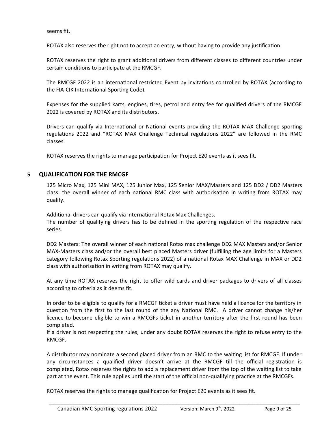seems fit.

ROTAX also reserves the right not to accept an entry, without having to provide any justification.

ROTAX reserves the right to grant additional drivers from different classes to different countries under certain conditions to participate at the RMCGF.

The RMCGF 2022 is an international restricted Event by invitations controlled by ROTAX (according to the FIA-CIK International Sporting Code).

Expenses for the supplied karts, engines, tires, petrol and entry fee for qualified drivers of the RMCGF 2022 is covered by ROTAX and its distributors.

Drivers can qualify via International or National events providing the ROTAX MAX Challenge sporting regulations 2022 and "ROTAX MAX Challenge Technical regulations 2022" are followed in the RMC classes.

ROTAX reserves the rights to manage participation for Project E20 events as it sees fit.

## <span id="page-8-0"></span>**5 QUALIFICATION FOR THE RMCGF**

125 Micro Max, 125 Mini MAX, 125 Junior Max, 125 Senior MAX/Masters and 125 DD2 / DD2 Masters class: the overall winner of each national RMC class with authorisation in writing from ROTAX may qualify.

Additional drivers can qualify via international Rotax Max Challenges.

The number of qualifying drivers has to be defined in the sporting regulation of the respective race series.

DD2 Masters: The overall winner of each national Rotax max challenge DD2 MAX Masters and/or Senior MAX-Masters class and/or the overall best placed Masters driver (fulfilling the age limits for a Masters category following Rotax Sporting regulations 2022) of a national Rotax MAX Challenge in MAX or DD2 class with authorisation in writing from ROTAX may qualify.

At any time ROTAX reserves the right to offer wild cards and driver packages to drivers of all classes according to criteria as it deems fit.

In order to be eligible to qualify for a RMCGF ticket a driver must have held a licence for the territory in question from the first to the last round of the any National RMC. A driver cannot change his/her licence to become eligible to win a RMCGFs ticket in another territory after the first round has been completed.

If a driver is not respecting the rules, under any doubt ROTAX reserves the right to refuse entry to the RMCGF.

A distributor may nominate a second placed driver from an RMC to the waiting list for RMCGF. If under any circumstances a qualified driver doesn't arrive at the RMCGF till the official registration is completed, Rotax reserves the rights to add a replacement driver from the top of the waiting list to take part at the event. This rule applies until the start of the official non-qualifying practice at the RMCGFs.

\_\_\_\_\_\_\_\_\_\_\_\_\_\_\_\_\_\_\_\_\_\_\_\_\_\_\_\_\_\_\_\_\_\_\_\_\_\_\_\_\_\_\_\_\_\_\_\_\_\_\_\_\_\_\_\_\_\_\_\_\_\_\_\_\_\_\_\_\_\_\_\_\_\_\_\_\_\_\_\_\_\_\_\_

ROTAX reserves the rights to manage qualification for Project E20 events as it sees fit.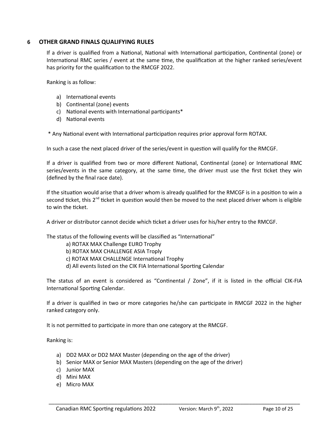### <span id="page-9-0"></span>**6 OTHER GRAND FINALS QUALIFYING RULES**

If a driver is qualified from a National, National with International participation, Continental (zone) or International RMC series / event at the same time, the qualification at the higher ranked series/event has priority for the qualification to the RMCGF 2022.

Ranking is as follow:

- a) International events
- b) Continental (zone) events
- c) National events with International participants\*
- d) National events

\* Any National event with International participation requires prior approval form ROTAX.

In such a case the next placed driver of the series/event in question will qualify for the RMCGF.

If a driver is qualified from two or more different National, Continental (zone) or International RMC series/events in the same category, at the same time, the driver must use the first ticket they win (defined by the final race date).

If the situation would arise that a driver whom is already qualified for the RMCGF is in a position to win a second ticket, this  $2^{nd}$  ticket in question would then be moved to the next placed driver whom is eligible to win the ticket.

A driver or distributor cannot decide which ticket a driver uses for his/her entry to the RMCGF.

The status of the following events will be classified as "International"

a) ROTAX MAX Challenge EURO Trophy

b) ROTAX MAX CHALLENGE ASIA Troply

c) ROTAX MAX CHALLENGE International Trophy

d) All events listed on the CIK FIA International Sporting Calendar

The status of an event is considered as "Continental / Zone", if it is listed in the official CIK-FIA International Sporting Calendar.

If a driver is qualified in two or more categories he/she can participate in RMCGF 2022 in the higher ranked category only.

\_\_\_\_\_\_\_\_\_\_\_\_\_\_\_\_\_\_\_\_\_\_\_\_\_\_\_\_\_\_\_\_\_\_\_\_\_\_\_\_\_\_\_\_\_\_\_\_\_\_\_\_\_\_\_\_\_\_\_\_\_\_\_\_\_\_\_\_\_\_\_\_\_\_\_\_\_\_\_\_\_\_\_\_

It is not permitted to participate in more than one category at the RMCGF.

Ranking is:

- a) DD2 MAX or DD2 MAX Master (depending on the age of the driver)
- b) Senior MAX or Senior MAX Masters (depending on the age of the driver)
- c) Junior MAX
- d) Mini MAX
- e) Micro MAX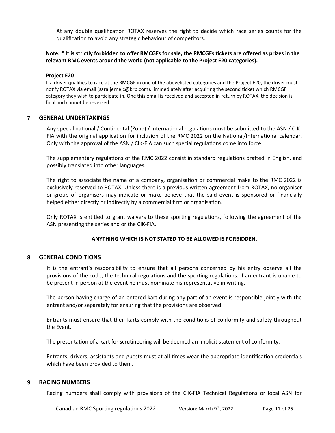At any double qualification ROTAX reserves the right to decide which race series counts for the qualification to avoid any strategic behaviour of competitors.

#### **Note: \* It is strictly forbidden to offer RMCGFs for sale, the RMCGFs tickets are offered as prizes in the relevant RMC events around the world (not applicable to the Project E20 categories).**

#### **Project E20**

If a driver qualifies to race at the RMCGF in one of the abovelisted categories and the Project E20, the driver must notify ROTAX via email (sara.jernejc@brp.com). immediately after acquiring the second ticket which RMCGF category they wish to participate in. One this email is received and accepted in return by ROTAX, the decision is final and cannot be reversed.

#### <span id="page-10-2"></span>**7 GENERAL UNDERTAKINGS**

Any special national / Continental (Zone) / International regulations must be submitted to the ASN / CIK-FIA with the original application for inclusion of the RMC 2022 on the National/International calendar. Only with the approval of the ASN / CIK-FIA can such special regulations come into force.

The supplementary regulations of the RMC 2022 consist in standard regulations drafted in English, and possibly translated into other languages.

The right to associate the name of a company, organisation or commercial make to the RMC 2022 is exclusively reserved to ROTAX. Unless there is a previous written agreement from ROTAX, no organiser or group of organisers may indicate or make believe that the said event is sponsored or financially helped either directly or indirectly by a commercial firm or organisation.

Only ROTAX is entitled to grant waivers to these sporting regulations, following the agreement of the ASN presenting the series and or the CIK-FIA.

## **ANYTHING WHICH IS NOT STATED TO BE ALLOWED IS FORBIDDEN.**

## <span id="page-10-1"></span>**8 GENERAL CONDITIONS**

It is the entrant's responsibility to ensure that all persons concerned by his entry observe all the provisions of the code, the technical regulations and the sporting regulations. If an entrant is unable to be present in person at the event he must nominate his representative in writing.

The person having charge of an entered kart during any part of an event is responsible jointly with the entrant and/or separately for ensuring that the provisions are observed.

Entrants must ensure that their karts comply with the conditions of conformity and safety throughout the Event.

The presentation of a kart for scrutineering will be deemed an implicit statement of conformity.

Entrants, drivers, assistants and guests must at all times wear the appropriate identification credentials which have been provided to them.

#### <span id="page-10-0"></span>**9 RACING NUMBERS**

Racing numbers shall comply with provisions of the CIK-FIA Technical Regulations or local ASN for \_\_\_\_\_\_\_\_\_\_\_\_\_\_\_\_\_\_\_\_\_\_\_\_\_\_\_\_\_\_\_\_\_\_\_\_\_\_\_\_\_\_\_\_\_\_\_\_\_\_\_\_\_\_\_\_\_\_\_\_\_\_\_\_\_\_\_\_\_\_\_\_\_\_\_\_\_\_\_\_\_\_\_\_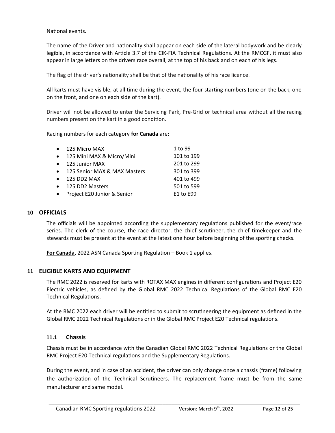National events.

The name of the Driver and nationality shall appear on each side of the lateral bodywork and be clearly legible, in accordance with Article 3.7 of the CIK-FIA Technical Regulations. At the RMCGF, it must also appear in large letters on the drivers race overall, at the top of his back and on each of his legs.

The flag of the driver's nationality shall be that of the nationality of his race licence.

All karts must have visible, at all time during the event, the four starting numbers (one on the back, one on the front, and one on each side of the kart).

Driver will not be allowed to enter the Servicing Park, Pre-Grid or technical area without all the racing numbers present on the kart in a good condition.

Racing numbers for each category **for Canada** are:

| • 125 Micro MAX                | 1 to 99    |
|--------------------------------|------------|
| • 125 Mini MAX & Micro/Mini    | 101 to 199 |
| • 125 Junior MAX               | 201 to 299 |
| • 125 Senior MAX & MAX Masters | 301 to 399 |
| $\bullet$ 125 DD2 MAX          | 401 to 499 |
| • 125 DD2 Masters              | 501 to 599 |
| • Project E20 Junior & Senior  | E1 to E99  |

#### <span id="page-11-2"></span>**10 OFFICIALS**

The officials will be appointed according the supplementary regulations published for the event/race series. The clerk of the course, the race director, the chief scrutineer, the chief timekeeper and the stewards must be present at the event at the latest one hour before beginning of the sporting checks.

**For Canada**, 2022 ASN Canada Sporting Regulation – Book 1 applies.

#### <span id="page-11-1"></span>**11 ELIGIBLE KARTS AND EQUIPMENT**

The RMC 2022 is reserved for karts with ROTAX MAX engines in different configurations and Project E20 Electric vehicles, as defined by the Global RMC 2022 Technical Regulations of the Global RMC E20 Technical Regulations.

At the RMC 2022 each driver will be entitled to submit to scrutineering the equipment as defined in the Global RMC 2022 Technical Regulations or in the Global RMC Project E20 Technical regulations.

#### <span id="page-11-0"></span>**11.1 Chassis**

Chassis must be in accordance with the Canadian Global RMC 2022 Technical Regulations or the Global RMC Project E20 Technical regulations and the Supplementary Regulations.

During the event, and in case of an accident, the driver can only change once a chassis (frame) following the authorization of the Technical Scrutineers. The replacement frame must be from the same manufacturer and same model.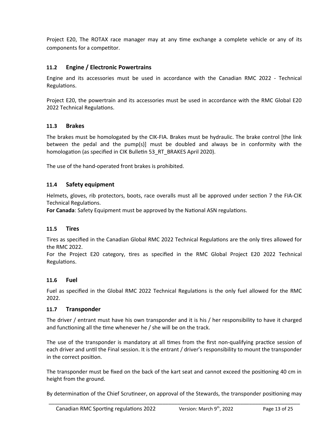Project E20, The ROTAX race manager may at any time exchange a complete vehicle or any of its components for a competitor.

## <span id="page-12-5"></span>**11.2 Engine / Electronic Powertrains**

Engine and its accessories must be used in accordance with the Canadian RMC 2022 - Technical Regulations.

Project E20, the powertrain and its accessories must be used in accordance with the RMC Global E20 2022 Technical Regulations.

## <span id="page-12-4"></span>**11.3 Brakes**

The brakes must be homologated by the CIK-FIA. Brakes must be hydraulic. The brake control [the link between the pedal and the pump(s)] must be doubled and always be in conformity with the homologation (as specified in CIK Bulletin 53\_RT\_BRAKES April 2020).

The use of the hand-operated front brakes is prohibited.

## <span id="page-12-3"></span>**11.4 Safety equipment**

Helmets, gloves, rib protectors, boots, race overalls must all be approved under section 7 the FIA-CIK Technical Regulations.

**For Canada**: Safety Equipment must be approved by the National ASN regulations.

## <span id="page-12-2"></span>**11.5 Tires**

Tires as specified in the Canadian Global RMC 2022 Technical Regulations are the only tires allowed for the RMC 2022.

For the Project E20 category, tires as specified in the RMC Global Project E20 2022 Technical Regulations.

#### <span id="page-12-1"></span>**11.6 Fuel**

Fuel as specified in the Global RMC 2022 Technical Regulations is the only fuel allowed for the RMC 2022.

## <span id="page-12-0"></span>**11.7 Transponder**

The driver / entrant must have his own transponder and it is his / her responsibility to have it charged and functioning all the time whenever he / she will be on the track.

The use of the transponder is mandatory at all times from the first non-qualifying practice session of each driver and until the Final session. It is the entrant / driver's responsibility to mount the transponder in the correct position.

The transponder must be fixed on the back of the kart seat and cannot exceed the positioning 40 cm in height from the ground.

By determination of the Chief Scrutineer, on approval of the Stewards, the transponder positioning may \_\_\_\_\_\_\_\_\_\_\_\_\_\_\_\_\_\_\_\_\_\_\_\_\_\_\_\_\_\_\_\_\_\_\_\_\_\_\_\_\_\_\_\_\_\_\_\_\_\_\_\_\_\_\_\_\_\_\_\_\_\_\_\_\_\_\_\_\_\_\_\_\_\_\_\_\_\_\_\_\_\_\_\_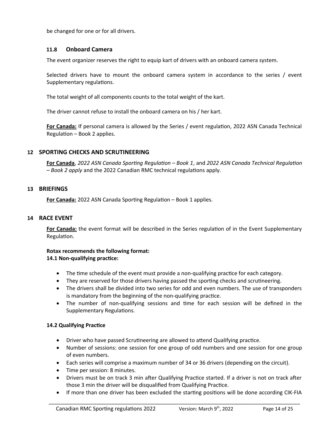be changed for one or for all drivers.

### <span id="page-13-3"></span>**11.8 Onboard Camera**

The event organizer reserves the right to equip kart of drivers with an onboard camera system.

Selected drivers have to mount the onboard camera system in accordance to the series / event Supplementary regulations.

The total weight of all components counts to the total weight of the kart.

The driver cannot refuse to install the onboard camera on his / her kart.

**For Canada:** If personal camera is allowed by the Series / event regulation, 2022 ASN Canada Technical Regulation – Book 2 applies.

#### <span id="page-13-2"></span>**12 SPORTING CHECKS AND SCRUTINEERING**

**For Canada**, *2022 ASN Canada Sporting Regulation – Book 1*, and *2022 ASN Canada Technical Regulation – Book 2 apply* and the 2022 Canadian RMC technical regulations apply.

#### <span id="page-13-1"></span>**13 BRIEFINGS**

**For Canada:** 2022 ASN Canada Sporting Regulation – Book 1 applies.

#### <span id="page-13-0"></span>**14 RACE EVENT**

**For Canada:** the event format will be described in the Series regulation of in the Event Supplementary Regulation.

#### **Rotax recommends the following format: 14.1 Non-qualifying practice:**

- The time schedule of the event must provide a non-qualifying practice for each category.
- They are reserved for those drivers having passed the sporting checks and scrutineering.
- The drivers shall be divided into two series for odd and even numbers. The use of transponders is mandatory from the beginning of the non-qualifying practice.
- The number of non-qualifying sessions and time for each session will be defined in the Supplementary Regulations.

#### **14.2 Qualifying Practice**

- Driver who have passed Scrutineering are allowed to attend Qualifying practice.
- Number of sessions: one session for one group of odd numbers and one session for one group of even numbers.
- Each series will comprise a maximum number of 34 or 36 drivers (depending on the circuit).
- Time per session: 8 minutes.
- Drivers must be on track 3 min after Qualifying Practice started. If a driver is not on track after those 3 min the driver will be disqualified from Qualifying Practice.
- If more than one driver has been excluded the starting positions will be done according CIK-FIA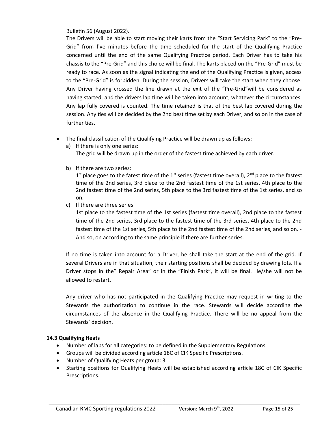Bulletin 56 (August 2022).

The Drivers will be able to start moving their karts from the "Start Servicing Park" to the "Pre-Grid" from five minutes before the time scheduled for the start of the Qualifying Practice concerned until the end of the same Qualifying Practice period. Each Driver has to take his chassis to the "Pre-Grid" and this choice will be final. The karts placed on the "Pre-Grid" must be ready to race. As soon as the signal indicating the end of the Qualifying Practice is given, access to the "Pre-Grid" is forbidden. During the session, Drivers will take the start when they choose. Any Driver having crossed the line drawn at the exit of the "Pre-Grid"will be considered as having started, and the drivers lap time will be taken into account, whatever the circumstances. Any lap fully covered is counted. The time retained is that of the best lap covered during the session. Any ties will be decided by the 2nd best time set by each Driver, and so on in the case of further ties.

- The final classification of the Qualifying Practice will be drawn up as follows:
	- a) If there is only one series:

The grid will be drawn up in the order of the fastest time achieved by each driver.

b) If there are two series:

 $1<sup>st</sup>$  place goes to the fatest time of the  $1<sup>st</sup>$  series (fastest time overall),  $2<sup>nd</sup>$  place to the fastest time of the 2nd series, 3rd place to the 2nd fastest time of the 1st series, 4th place to the 2nd fastest time of the 2nd series, 5th place to the 3rd fastest time of the 1st series, and so on.

c) If there are three series:

1st place to the fastest time of the 1st series (fastest time overall), 2nd place to the fastest time of the 2nd series, 3rd place to the fastest time of the 3rd series, 4th place to the 2nd fastest time of the 1st series, 5th place to the 2nd fastest time of the 2nd series, and so on. - And so, on according to the same principle if there are further series.

If no time is taken into account for a Driver, he shall take the start at the end of the grid. If several Drivers are in that situation, their starting positions shall be decided by drawing lots. If a Driver stops in the" Repair Area" or in the "Finish Park", it will be final. He/she will not be allowed to restart.

Any driver who has not participated in the Qualifying Practice may request in writing to the Stewards the authorization to continue in the race. Stewards will decide according the circumstances of the absence in the Qualifying Practice. There will be no appeal from the Stewards' decision.

#### **14.3 Qualifying Heats**

- Number of laps for all categories: to be defined in the Supplementary Regulations
- Groups will be divided according article 18C of CIK Specific Prescriptions.
- Number of Qualifying Heats per group: 3
- Starting positions for Qualifying Heats will be established according article 18C of CIK Specific Prescriptions.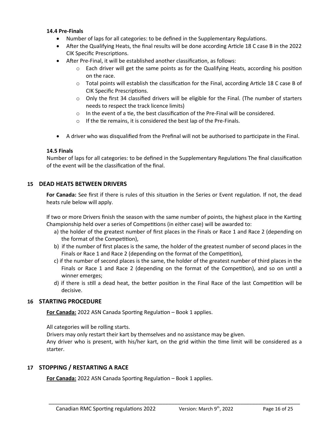#### **14.4 Pre-Finals**

- Number of laps for all categories: to be defined in the Supplementary Regulations.
- After the Qualifying Heats, the final results will be done according Article 18 C case B in the 2022 CIK Specific Prescriptions.
- After Pre-Final, it will be established another classification, as follows:
	- $\circ$  Each driver will get the same points as for the Qualifying Heats, according his position on the race.
	- $\circ$  Total points will establish the classification for the Final, according Article 18 C case B of CIK Specific Prescriptions.
	- o Only the first 34 classified drivers will be eligible for the Final. (The number of starters needs to respect the track licence limits)
	- o In the event of a tie, the best classification of the Pre-Final will be considered.
	- o If the tie remains, it is considered the best lap of the Pre-Finals.
- A driver who was disqualified from the Prefinal will not be authorised to participate in the Final.

#### **14.5 Finals**

Number of laps for all categories: to be defined in the Supplementary Regulations The final classification of the event will be the classification of the final.

#### <span id="page-15-2"></span>**15 DEAD HEATS BETWEEN DRIVERS**

**For Canada:** See first if there is rules of this situation in the Series or Event regulation. If not, the dead heats rule below will apply.

If two or more Drivers finish the season with the same number of points, the highest place in the Karting Championship held over a series of Competitions (in either case) will be awarded to:

- a) the holder of the greatest number of first places in the Finals or Race 1 and Race 2 (depending on the format of the Competition),
- b) if the number of first places is the same, the holder of the greatest number of second places in the Finals or Race 1 and Race 2 (depending on the format of the Competition),
- c) if the number of second places is the same, the holder of the greatest number of third places in the Finals or Race 1 and Race 2 (depending on the format of the Competition), and so on until a winner emerges;
- d) if there is still a dead heat, the better position in the Final Race of the last Competition will be decisive.

#### <span id="page-15-1"></span>**16 STARTING PROCEDURE**

**For Canada:** 2022 ASN Canada Sporting Regulation – Book 1 applies.

All categories will be rolling starts.

Drivers may only restart their kart by themselves and no assistance may be given.

Any driver who is present, with his/her kart, on the grid within the time limit will be considered as a starter.

\_\_\_\_\_\_\_\_\_\_\_\_\_\_\_\_\_\_\_\_\_\_\_\_\_\_\_\_\_\_\_\_\_\_\_\_\_\_\_\_\_\_\_\_\_\_\_\_\_\_\_\_\_\_\_\_\_\_\_\_\_\_\_\_\_\_\_\_\_\_\_\_\_\_\_\_\_\_\_\_\_\_\_\_

## <span id="page-15-0"></span>**17 STOPPING / RESTARTING A RACE**

**For Canada:** 2022 ASN Canada Sporting Regulation – Book 1 applies.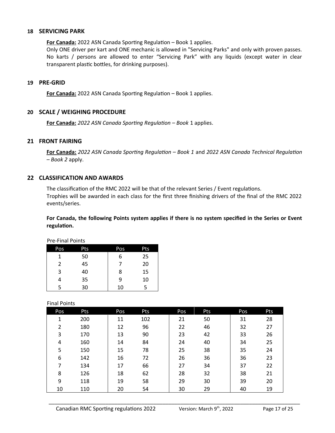#### <span id="page-16-2"></span>**18 SERVICING PARK**

**For Canada:** 2022 ASN Canada Sporting Regulation – Book 1 applies.

Only ONE driver per kart and ONE mechanic is allowed in "Servicing Parks" and only with proven passes. No karts / persons are allowed to enter "Servicing Park" with any liquids (except water in clear transparent plastic bottles, for drinking purposes).

#### <span id="page-16-1"></span>**19 PRE-GRID**

**For Canada:** 2022 ASN Canada Sporting Regulation – Book 1 applies.

### <span id="page-16-0"></span>**20 SCALE / WEIGHING PROCEDURE**

**For Canada:** *2022 ASN Canada Sporting Regulation – Book* 1 applies.

#### <span id="page-16-4"></span>**21 FRONT FAIRING**

**For Canada:** *2022 ASN Canada Sporting Regulation – Book 1* and *2022 ASN Canada Technical Regulation – Book 2* apply.

#### <span id="page-16-3"></span>**22 CLASSIFICATION AND AWARDS**

The classification of the RMC 2022 will be that of the relevant Series / Event regulations. Trophies will be awarded in each class for the first three finishing drivers of the final of the RMC 2022 events/series.

**For Canada, the following Points system applies if there is no system specified in the Series or Event regulation.**

|     | .   |     |     |  |  |  |  |
|-----|-----|-----|-----|--|--|--|--|
| Pos | Pts | Pos | Pts |  |  |  |  |
| 1   | 50  | 6   | 25  |  |  |  |  |
| 2   | 45  |     | 20  |  |  |  |  |
| 3   | 40  | 8   | 15  |  |  |  |  |
|     | 35  | 9   | 10  |  |  |  |  |
| 5   | 30  | 10  | 5   |  |  |  |  |

#### Pre-Final Points

#### Final Points

| Pos | Pts | Pos | Pts | Pos | Pts | Pos | Pts |
|-----|-----|-----|-----|-----|-----|-----|-----|
| 1   | 200 | 11  | 102 | 21  | 50  | 31  | 28  |
| 2   | 180 | 12  | 96  | 22  | 46  | 32  | 27  |
| 3   | 170 | 13  | 90  | 23  | 42  | 33  | 26  |
| 4   | 160 | 14  | 84  | 24  | 40  | 34  | 25  |
| 5   | 150 | 15  | 78  | 25  | 38  | 35  | 24  |
| 6   | 142 | 16  | 72  | 26  | 36  | 36  | 23  |
| 7   | 134 | 17  | 66  | 27  | 34  | 37  | 22  |
| 8   | 126 | 18  | 62  | 28  | 32  | 38  | 21  |
| 9   | 118 | 19  | 58  | 29  | 30  | 39  | 20  |
| 10  | 110 | 20  | 54  | 30  | 29  | 40  | 19  |
|     |     |     |     |     |     |     |     |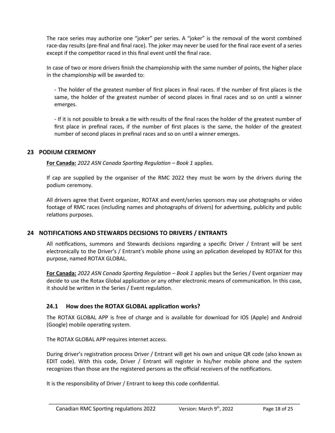The race series may authorize one "joker" per series. A "joker" is the removal of the worst combined race-day results (pre-final and final race). The joker may never be used for the final race event of a series except if the competitor raced in this final event until the final race.

In case of two or more drivers finish the championship with the same number of points, the higher place in the championship will be awarded to:

- The holder of the greatest number of first places in final races. If the number of first places is the same, the holder of the greatest number of second places in final races and so on until a winner emerges.

- If it is not possible to break a tie with results of the final races the holder of the greatest number of first place in prefinal races, if the number of first places is the same, the holder of the greatest number of second places in prefinal races and so on until a winner emerges.

## <span id="page-17-2"></span>**23 PODIUM CEREMONY**

**For Canada:** *2022 ASN Canada Sporting Regulation – Book 1* applies.

If cap are supplied by the organiser of the RMC 2022 they must be worn by the drivers during the podium ceremony.

All drivers agree that Event organizer, ROTAX and event/series sponsors may use photographs or video footage of RMC races (including names and photographs of drivers) for advertising, publicity and public relations purposes.

## <span id="page-17-1"></span>**24 NOTIFICATIONS AND STEWARDS DECISIONS TO DRIVERS / ENTRANTS**

All notifications, summons and Stewards decisions regarding a specific Driver / Entrant will be sent electronically to the Driver's / Entrant's mobile phone using an pplication developed by ROTAX for this purpose, named ROTAX GLOBAL.

**For Canada:** *2022 ASN Canada Sporting Regulation – Book 1* applies but the Series / Event organizer may decide to use the Rotax Global application or any other electronic means of communication. In this case, it should be written in the Series / Event regulation.

## <span id="page-17-0"></span>**24.1 How does the ROTAX GLOBAL application works?**

The ROTAX GLOBAL APP is free of charge and is available for download for IOS (Apple) and Android (Google) mobile operating system.

The ROTAX GLOBAL APP requires internet access.

During driver's registration process Driver / Entrant will get his own and unique QR code (also known as EDIT code). With this code, Driver / Entrant will register in his/her mobile phone and the system recognizes than those are the registered persons as the official receivers of the notifications.

\_\_\_\_\_\_\_\_\_\_\_\_\_\_\_\_\_\_\_\_\_\_\_\_\_\_\_\_\_\_\_\_\_\_\_\_\_\_\_\_\_\_\_\_\_\_\_\_\_\_\_\_\_\_\_\_\_\_\_\_\_\_\_\_\_\_\_\_\_\_\_\_\_\_\_\_\_\_\_\_\_\_\_\_

It is the responsibility of Driver / Entrant to keep this code confidential.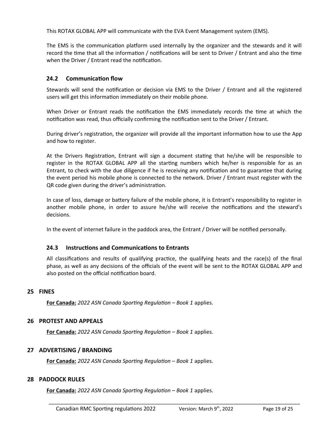This ROTAX GLOBAL APP will communicate with the EVA Event Management system (EMS).

The EMS is the communication platform used internally by the organizer and the stewards and it will record the time that all the information / notifications will be sent to Driver / Entrant and also the time when the Driver / Entrant read the notification.

## <span id="page-18-5"></span>**24.2 Communication flow**

Stewards will send the notification or decision via EMS to the Driver / Entrant and all the registered users will get this information immediately on their mobile phone.

When Driver or Entrant reads the notification the EMS immediately records the time at which the notification was read, thus officially confirming the notification sent to the Driver / Entrant.

During driver's registration, the organizer will provide all the important information how to use the App and how to register.

At the Drivers Registration, Entrant will sign a document stating that he/she will be responsible to register in the ROTAX GLOBAL APP all the starting numbers which he/her is responsible for as an Entrant, to check with the due diligence if he is receiving any notification and to guarantee that during the event period his mobile phone is connected to the network. Driver / Entrant must register with the QR code given during the driver's administration.

In case of loss, damage or battery failure of the mobile phone, it is Entrant's responsibility to register in another mobile phone, in order to assure he/she will receive the notifications and the steward's decisions.

In the event of internet failure in the paddock area, the Entrant / Driver will be notified personally.

#### <span id="page-18-4"></span>**24.3 Instructions and Communications to Entrants**

All classifications and results of qualifying practice, the qualifying heats and the race(s) of the final phase, as well as any decisions of the officials of the event will be sent to the ROTAX GLOBAL APP and also posted on the official notification board.

\_\_\_\_\_\_\_\_\_\_\_\_\_\_\_\_\_\_\_\_\_\_\_\_\_\_\_\_\_\_\_\_\_\_\_\_\_\_\_\_\_\_\_\_\_\_\_\_\_\_\_\_\_\_\_\_\_\_\_\_\_\_\_\_\_\_\_\_\_\_\_\_\_\_\_\_\_\_\_\_\_\_\_\_

#### <span id="page-18-3"></span>**25 FINES**

**For Canada:** *2022 ASN Canada Sporting Regulation – Book 1* applies.

#### <span id="page-18-2"></span>**26 PROTEST AND APPEALS**

**For Canada:** *2022 ASN Canada Sporting Regulation – Book 1* applies.

#### <span id="page-18-1"></span>**27 ADVERTISING / BRANDING**

**For Canada:** *2022 ASN Canada Sporting Regulation – Book 1* applies.

#### <span id="page-18-0"></span>**28 PADDOCK RULES**

**For Canada:** *2022 ASN Canada Sporting Regulation – Book 1* applies.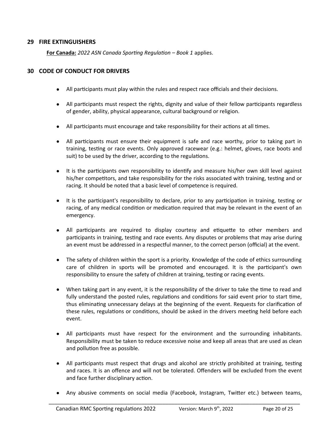### <span id="page-19-1"></span>**29 FIRE EXTINGUISHERS**

**For Canada:** *2022 ASN Canada Sporting Regulation – Book 1* applies.

#### <span id="page-19-0"></span>**30 CODE OF CONDUCT FOR DRIVERS**

- All participants must play within the rules and respect race officials and their decisions.
- All participants must respect the rights, dignity and value of their fellow participants regardless of gender, ability, physical appearance, cultural background or religion.
- All participants must encourage and take responsibility for their actions at all times.
- All participants must ensure their equipment is safe and race worthy, prior to taking part in training, testing or race events. Only approved racewear (e.g.: helmet, gloves, race boots and suit) to be used by the driver, according to the regulations.
- It is the participants own responsibility to identify and measure his/her own skill level against his/her competitors, and take responsibility for the risks associated with training, testing and or racing. It should be noted that a basic level of competence is required.
- It is the participant's responsibility to declare, prior to any participation in training, testing or racing, of any medical condition or medication required that may be relevant in the event of an emergency.
- All participants are required to display courtesy and etiquette to other members and participants in training, testing and race events. Any disputes or problems that may arise during an event must be addressed in a respectful manner, to the correct person (official) at the event.
- The safety of children within the sport is a priority. Knowledge of the code of ethics surrounding care of children in sports will be promoted and encouraged. It is the participant's own responsibility to ensure the safety of children at training, testing or racing events.
- When taking part in any event, it is the responsibility of the driver to take the time to read and fully understand the posted rules, regulations and conditions for said event prior to start time, thus eliminating unnecessary delays at the beginning of the event. Requests for clarification of these rules, regulations or conditions, should be asked in the drivers meeting held before each event.
- All participants must have respect for the environment and the surrounding inhabitants. Responsibility must be taken to reduce excessive noise and keep all areas that are used as clean and pollution free as possible.
- All participants must respect that drugs and alcohol are strictly prohibited at training, testing and races. It is an offence and will not be tolerated. Offenders will be excluded from the event and face further disciplinary action.
- Any abusive comments on social media (Facebook, Instagram, Twitter etc.) between teams,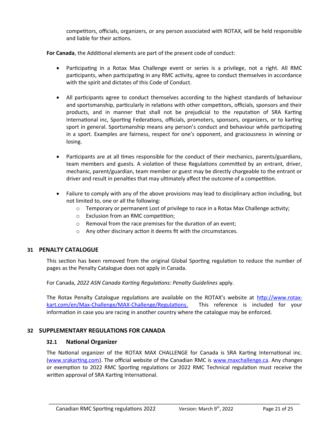competitors, officials, organizers, or any person associated with ROTAX, will be held responsible and liable for their actions.

**For Canada**, the Additional elements are part of the present code of conduct:

- Participating in a Rotax Max Challenge event or series is a privilege, not a right. All RMC participants, when participating in any RMC activity, agree to conduct themselves in accordance with the spirit and dictates of this Code of Conduct.
- All participants agree to conduct themselves according to the highest standards of behaviour and sportsmanship, particularly in relations with other competitors, officials, sponsors and their products, and in manner that shall not be prejudicial to the reputation of SRA Karting International inc, Sporting Federations, officials, promoters, sponsors, organizers, or to karting sport in general. Sportsmanship means any person's conduct and behaviour while participating in a sport. Examples are fairness, respect for one's opponent, and graciousness in winning or losing.
- Participants are at all times responsible for the conduct of their mechanics, parents/guardians, team members and guests. A violation of these Regulations committed by an entrant, driver, mechanic, parent/guardian, team member or guest may be directly chargeable to the entrant or driver and result in penalties that may ultimately affect the outcome of a competition.
- Failure to comply with any of the above provisions may lead to disciplinary action including, but not limited to, one or all the following:
	- $\circ$  Temporary or permanent Lost of privilege to race in a Rotax Max Challenge activity;
	- o Exclusion from an RMC competition;
	- o Removal from the race premises for the duration of an event;
	- o Any other discinary action it deems fit with the circumstances.

#### <span id="page-20-2"></span>**31 PENALTY CATALOGUE**

This section has been removed from the original Global Sporting regulation to reduce the number of pages as the Penalty Catalogue does not apply in Canada.

For Canada, *2022 ASN Canada Karting Regulations: Penalty Guidelines* apply.

The Rotax Penalty Catalogue regulations are available on the ROTAX's website at [http://www.rotax](http://www.rotax-kart.com/en/Max-Challenge/MAX-Challenge/Regulations)  [kart.com/en/Max-Challenge/MAX-Challenge/Regulations .](http://www.rotax-kart.com/en/Max-Challenge/MAX-Challenge/Regulations) This reference is included for your information in case you are racing in another country where the catalogue may be enforced.

## <span id="page-20-1"></span>**32 SUPPLEMENTARY REGULATIONS FOR CANADA**

#### <span id="page-20-0"></span>**32.1 National Organizer**

The National organizer of the ROTAX MAX CHALLENGE for Canada is SRA Karting International inc. [\(www.srakarting.com](http://www.srakarting.com/)). The official website of the Canadian RMC is [www.maxchallenge.ca.](http://www.maxchallenge.ca/) Any changes or exemption to 2022 RMC Sporting regulations or 2022 RMC Technical regulation must receive the written approval of SRA Karting International.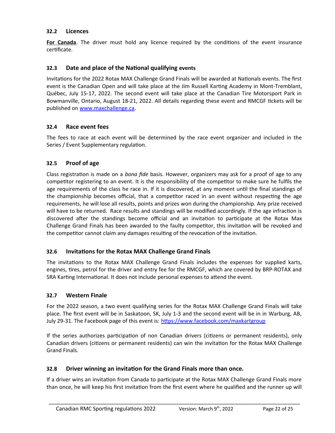## <span id="page-21-6"></span>**32.2 Licences**

**For Canada**. The driver must hold any licence required by the conditions of the event insurance certificate.

## <span id="page-21-5"></span>**32.3 Date and place of the National qualifying events**

Invitations for the 2022 Rotax MAX Challenge Grand Finals will be awarded at Nationals events. The first event is the Canadian Open and will take place at the Jim Russell Karting Academy in Mont-Tremblant, Québec, July 15-17, 2022. The second event will take place at the Canadian Tire Motorsport Park in Bowmanville, Ontario, August 18-21, 2022. All details regarding these event and RMCGF tickets will be published on [www.maxchallenge.ca](http://www.maxchallenge.ca/).

## <span id="page-21-4"></span>**32.4 Race event fees**

The fees to race at each event will be determined by the race event organizer and included in the Series / Event Supplementary regulation.

## <span id="page-21-3"></span>**32.5 Proof of age**

Class registration is made on a *bona fide* basis. However, organizers may ask for a proof of age to any competitor registering to an event. It is the responsibility of the competitor to make sure he fulfils the age requirements of the class he race in. If it is discovered, at any moment until the final standings of the championship becomes official, that a competitor raced in an event without respecting the age requirements, he will lose all results, points and prizes won during the championship. Any prize received will have to be returned. Race results and standings will be modified accordingly. If the age infraction is discovered after the standings become official and an invitation to participate at the Rotax Max Challenge Grand Finals has been awarded to the faulty competitor, this invitation will be revoked and the competitor cannot claim any damages resulting of the revocation of the invitation.

## <span id="page-21-2"></span>**32.6 Invitations for the Rotax MAX Challenge Grand Finals**

The invitations to the Rotax MAX Challenge Grand Finals includes the expenses for supplied karts, engines, tires, petrol for the driver and entry fee for the RMCGF, which are covered by BRP-ROTAX and SRA Karting International. It does not include personal expenses to attend the event.

## <span id="page-21-1"></span>**32.7 Western Finale**

For the 2022 season, a two event qualifying series for the Rotax MAX Challenge Grand Finals will take place. The first event will be in Saskatoon, SK, July 1-3 and the second event will be in in Warburg, AB, July 29-31. The Facebook page of this event is:<https://www.facebook.com/maxkartgroup>

If the series authorizes participation of non Canadian drivers (citizens or permanent residents), only Canadian drivers (citizens or permanent residents) can win the invitation for the Rotax MAX Challenge Grand Finals.

## <span id="page-21-0"></span>**32.8 Driver winning an invitation for the Grand Finals more than once.**

If a driver wins an invitation from Canada to participate at the Rotax MAX Challenge Grand Finals more than once, he will keep his first invitation from the first event where he qualified and the runner up will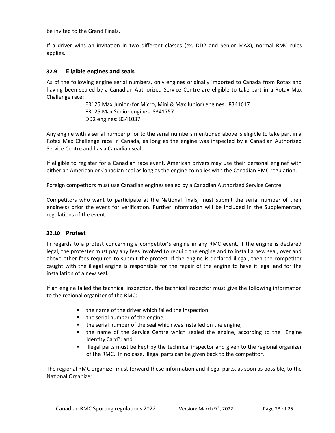be invited to the Grand Finals.

If a driver wins an invitation in two different classes (ex. DD2 and Senior MAX), normal RMC rules applies.

## <span id="page-22-1"></span>**32.9 Eligible engines and seals**

As of the following engine serial numbers, only engines originally imported to Canada from Rotax and having been sealed by a Canadian Authorized Service Centre are eligible to take part in a Rotax Max Challenge race:

> FR125 Max Junior (for Micro, Mini & Max Junior) engines: 8341617 FR125 Max Senior engines: 8341757 DD2 engines: 8341037

Any engine with a serial number prior to the serial numbers mentioned above is eligible to take part in a Rotax Max Challenge race in Canada, as long as the engine was inspected by a Canadian Authorized Service Centre and has a Canadian seal.

If eligible to register for a Canadian race event, American drivers may use their personal enginef with either an American or Canadian seal as long as the engine complies with the Canadian RMC regulation.

Foreign competitors must use Canadian engines sealed by a Canadian Authorized Service Centre.

Competitors who want to participate at the National finals, must submit the serial number of their engine(s) prior the event for verification. Further information will be included in the Supplementary regulations of the event.

## <span id="page-22-0"></span>**32.10 Protest**

In regards to a protest concerning a competitor's engine in any RMC event, if the engine is declared legal, the protester must pay any fees involved to rebuild the engine and to install a new seal, over and above other fees required to submit the protest. If the engine is declared illegal, then the competitor caught with the illegal engine is responsible for the repair of the engine to have it legal and for the installation of a new seal.

If an engine failed the technical inspection, the technical inspector must give the following information to the regional organizer of the RMC:

- the name of the driver which failed the inspection;
- $\blacksquare$  the serial number of the engine;
- **the serial number of the seal which was installed on the engine;**
- the name of the Service Centre which sealed the engine, according to the "Engine Identity Card"; and
- illegal parts must be kept by the technical inspector and given to the regional organizer of the RMC. In no case, illegal parts can be given back to the competitor.

The regional RMC organizer must forward these information and illegal parts, as soon as possible, to the National Organizer.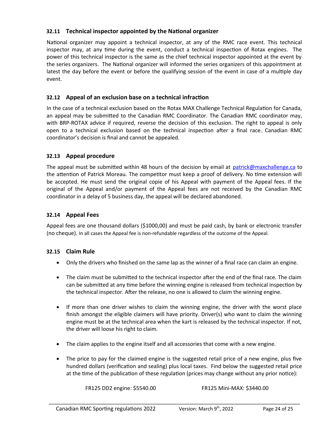## <span id="page-23-4"></span>**32.11 Technical inspector appointed by the National organizer**

National organizer may appoint a technical inspector, at any of the RMC race event. This technical inspector may, at any time during the event, conduct a technical inspection of Rotax engines. The power of this technical inspector is the same as the chief technical inspector appointed at the event by the series organizers. The National organizer will informed the series organizers of this appointment at latest the day before the event or before the qualifying session of the event in case of a multiple day event.

## <span id="page-23-3"></span>**32.12 Appeal of an exclusion base on a technical infraction**

In the case of a technical exclusion based on the Rotax MAX Challenge Technical Regulation for Canada, an appeal may be submitted to the Canadian RMC Coordinator. The Canadian RMC coordinator may, with BRP-ROTAX advice if required, reverse the decision of this exclusion. The right to appeal is only open to a technical exclusion based on the technical inspection after a final race. Canadian RMC coordinator's decision is final and cannot be appealed.

## <span id="page-23-2"></span>**32.13 Appeal procedure**

The appeal must be submitted within 48 hours of the decision by email at [patrick@maxchallenge.ca](mailto:patrick@maxchallenge.ca) to the attention of Patrick Moreau. The competitor must keep a proof of delivery. No time extension will be accepted. He must send the original copie of his Appeal with payment of the Appeal fees. If the original of the Appeal and/or payment of the Appeal fees are not received by the Canadian RMC coordinator in a delay of 5 business day, the appeal will be declared abandoned.

## <span id="page-23-1"></span>**32.14 Appeal Fees**

Appeal fees are one thousand dollars (\$1000,00) and must be paid cash, by bank or electronic transfer (no cheque). In all cases the Appeal fee is non-refundable regardless of the outcome of the Appeal.

## **32.15 Claim Rule**

- <span id="page-23-0"></span>Only the drivers who finished on the same lap as the winner of a final race can claim an engine.
- The claim must be submitted to the technical inspector after the end of the final race. The claim can be submitted at any time before the winning engine is released from technical inspection by the technical inspector. After the release, no one is allowed to claim the winning engine.
- If more than one driver wishes to claim the winning engine, the driver with the worst place finish amongst the eligible claimers will have priority. Driver(s) who want to claim the winning engine must be at the technical area when the kart is released by the technical inspector. If not, the driver will loose his right to claim.
- The claim applies to the engine itself and all accessories that come with a new engine.
- The price to pay for the claimed engine is the suggested retail price of a new engine, plus five hundred dollars (verification and sealing) plus local taxes. Find below the suggested retail price at the time of the publication of these regulation (prices may change without any prior notice):

\_\_\_\_\_\_\_\_\_\_\_\_\_\_\_\_\_\_\_\_\_\_\_\_\_\_\_\_\_\_\_\_\_\_\_\_\_\_\_\_\_\_\_\_\_\_\_\_\_\_\_\_\_\_\_\_\_\_\_\_\_\_\_\_\_\_\_\_\_\_\_\_\_\_\_\_\_\_\_\_\_\_\_\_

FR125 DD2 engine: \$5540.00 FR125 Mini-MAX: \$3440.00